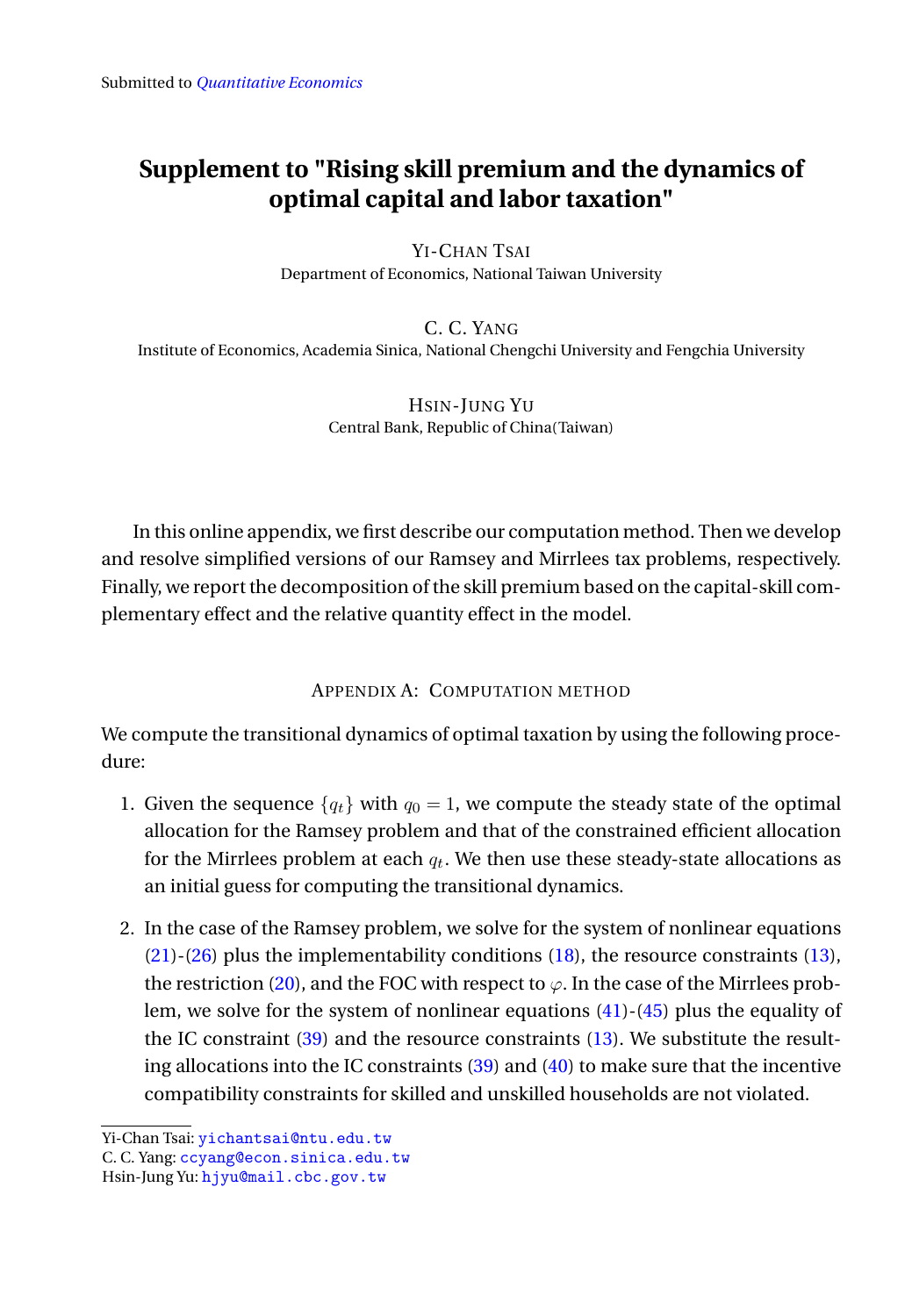# <span id="page-0-0"></span>**Supplement to "Rising skill premium and the dynamics of optimal capital and labor taxation"**

YI-CHAN TSAI Department of Economics, National Taiwan University

C. C. YANG Institute of Economics, Academia Sinica, National Chengchi University and Fengchia University

> HSIN-JUNG YU Central Bank, Republic of China(Taiwan)

In this online appendix, we first describe our computation method. Then we develop and resolve simplified versions of our Ramsey and Mirrlees tax problems, respectively. Finally, we report the decomposition of the skill premium based on the capital-skill complementary effect and the relative quantity effect in the model.

## APPENDIX A: COMPUTATION METHOD

We compute the transitional dynamics of optimal taxation by using the following procedure:

- 1. Given the sequence  ${q_t}$  with  $q_0 = 1$ , we compute the steady state of the optimal allocation for the Ramsey problem and that of the constrained efficient allocation for the Mirrlees problem at each  $q_t$ . We then use these steady-state allocations as an initial guess for computing the transitional dynamics.
- 2. In the case of the Ramsey problem, we solve for the system of nonlinear equations  $(21)-(26)$  plus the implementability conditions  $(18)$ , the resource constraints  $(13)$ , the restriction (20), and the FOC with respect to  $\varphi$ . In the case of the Mirrlees problem, we solve for the system of nonlinear equations (41)-(45) plus the equality of the IC constraint (39) and the resource constraints (13). We substitute the resulting allocations into the IC constraints (39) and (40) to make sure that the incentive compatibility constraints for skilled and unskilled households are not violated.

Yi-Chan Tsai: [yichantsai@ntu.edu.tw](mailto:yichantsai@ntu.edu.tw)

C. C. Yang: [ccyang@econ.sinica.edu.tw](mailto:ccyang@econ.sinica.edu.tw)

Hsin-Jung Yu: [hjyu@mail.cbc.gov.tw](mailto:hjyu@mail.cbc.gov.tw)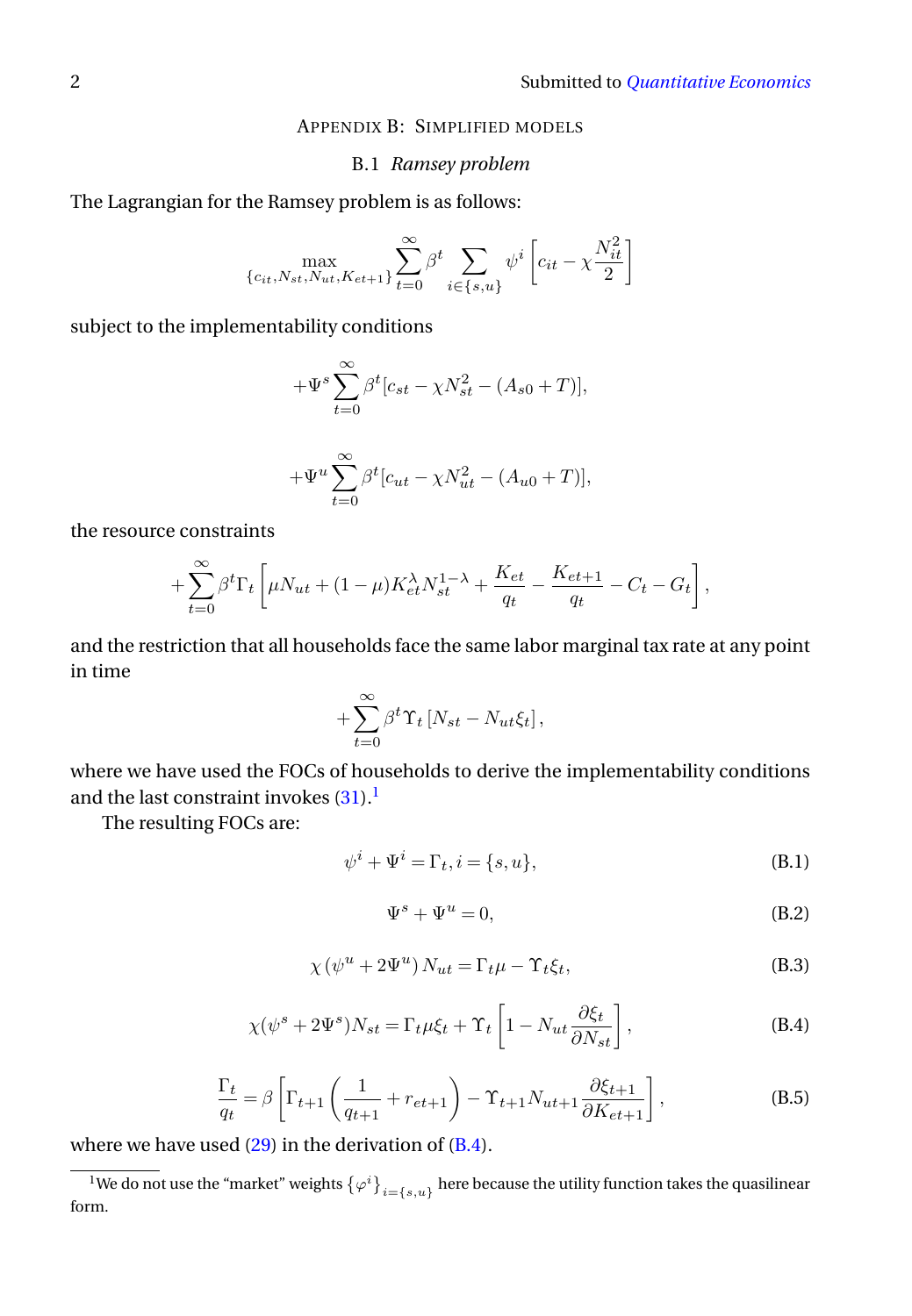### APPENDIX B: SIMPLIFIED MODELS

### B.1 *Ramsey problem*

The Lagrangian for the Ramsey problem is as follows:

 $t=0$ 

$$
\max_{\{c_{it}, N_{st}, N_{ut}, K_{et+1}\}} \sum_{t=0}^{\infty} \beta^t \sum_{i \in \{s, u\}} \psi^i \left[c_{it} - \chi \frac{N_{it}^2}{2}\right]
$$

subject to the implementability conditions

$$
+\Psi^{s}\sum_{t=0}^{\infty}\beta^{t}[c_{st}-\chi N_{st}^{2}-(A_{s0}+T)],
$$
  

$$
+\Psi^{u}\sum_{t=0}^{\infty}\beta^{t}[c_{ut}-\chi N_{ut}^{2}-(A_{u0}+T)],
$$

the resource constraints

$$
+\sum_{t=0}^{\infty}\beta^t\Gamma_t\left[\mu N_{ut}+(1-\mu)K_{et}^{\lambda}N_{st}^{1-\lambda}+\frac{K_{et}}{q_t}-\frac{K_{et+1}}{q_t}-C_t-G_t\right],
$$

and the restriction that all households face the same labor marginal tax rate at any point in time

$$
+\sum_{t=0}^{\infty}\beta^t\Upsilon_t\left[N_{st}-N_{ut}\xi_t\right],
$$

where we have used the FOCs of households to derive the implementability conditions and the last constraint invokes  $(31)$ .<sup>[1](#page-1-0)</sup>

The resulting FOCs are:

<span id="page-1-2"></span>
$$
\psi^i + \Psi^i = \Gamma_t, i = \{s, u\},\tag{B.1}
$$

<span id="page-1-3"></span>
$$
\Psi^s + \Psi^u = 0,\tag{B.2}
$$

<span id="page-1-5"></span>
$$
\chi(\psi^u + 2\Psi^u) N_{ut} = \Gamma_t \mu - \Upsilon_t \xi_t,
$$
\n(B.3)

<span id="page-1-1"></span>
$$
\chi(\psi^s + 2\Psi^s)N_{st} = \Gamma_t \mu \xi_t + \Upsilon_t \left[1 - N_{ut} \frac{\partial \xi_t}{\partial N_{st}}\right],
$$
 (B.4)

<span id="page-1-4"></span>
$$
\frac{\Gamma_t}{q_t} = \beta \left[ \Gamma_{t+1} \left( \frac{1}{q_{t+1}} + r_{et+1} \right) - \Upsilon_{t+1} N_{ut+1} \frac{\partial \xi_{t+1}}{\partial K_{et+1}} \right],
$$
\n(B.5)

where we have used  $(29)$  in the derivation of  $(B.4)$ .

<span id="page-1-0"></span> $^1$ We do not use the "market" weights  $\{\varphi^i\}_{i=\{s,u\}}$  here because the utility function takes the quasilinear form.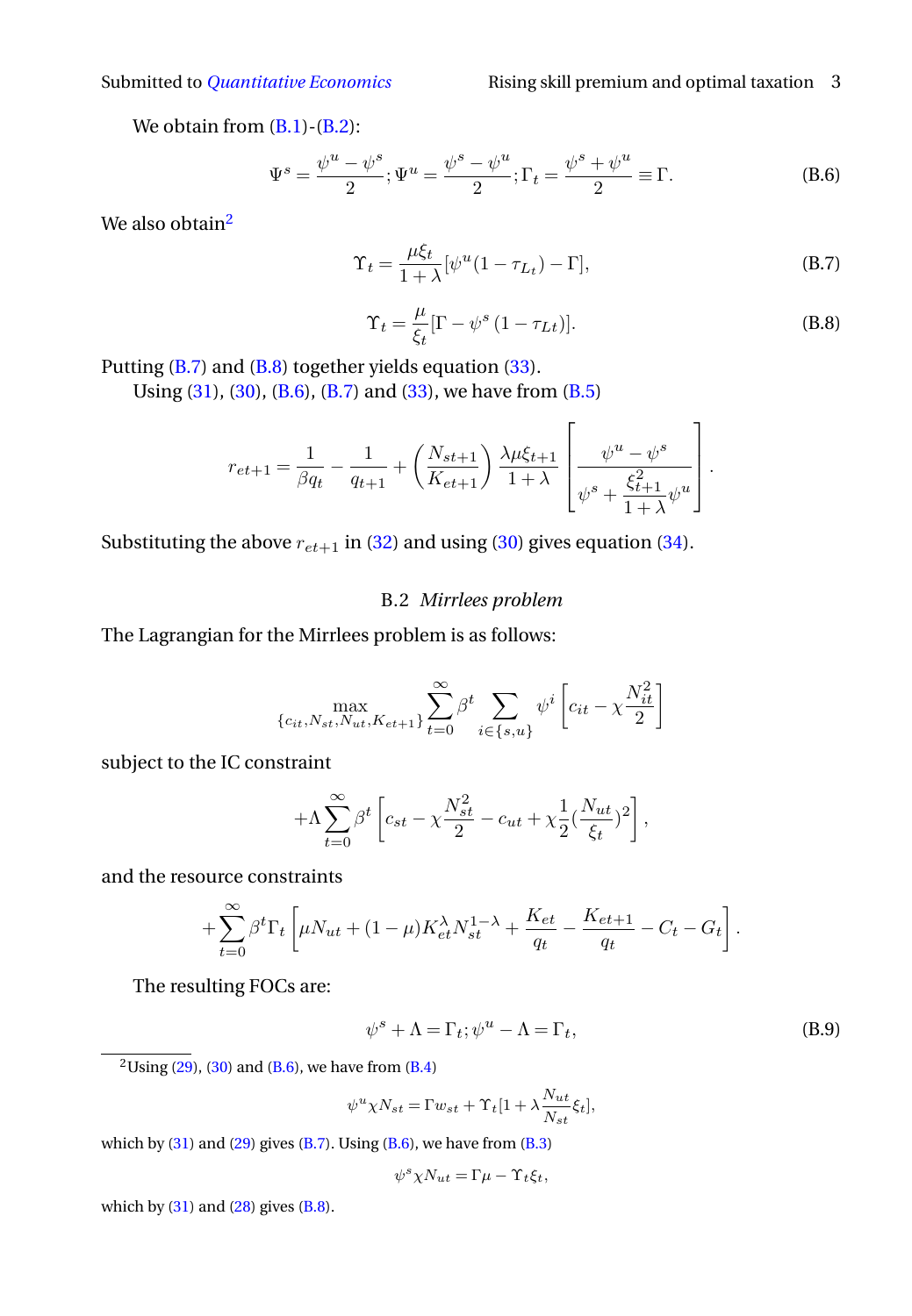We obtain from  $(B,1)-(B,2)$ :

<span id="page-2-3"></span>
$$
\Psi^{s} = \frac{\psi^{u} - \psi^{s}}{2}; \Psi^{u} = \frac{\psi^{s} - \psi^{u}}{2}; \Gamma_{t} = \frac{\psi^{s} + \psi^{u}}{2} \equiv \Gamma.
$$
 (B.6)

We also obtain<sup>[2](#page-2-0)</sup>

<span id="page-2-1"></span>
$$
\Upsilon_t = \frac{\mu \xi_t}{1 + \lambda} [\psi^u (1 - \tau_{L_t}) - \Gamma], \tag{B.7}
$$

<span id="page-2-2"></span>
$$
\Upsilon_t = \frac{\mu}{\xi_t} [\Gamma - \psi^s (1 - \tau_{Lt})].
$$
\n(B.8)

 $\overline{a}$ 

Putting  $(B.7)$  and  $(B.8)$  together yields equation  $(33)$ .

Using [\(31\)](#page-0-0), [\(30\)](#page-0-0), [\(B.6\)](#page-2-3), [\(B.7\)](#page-2-1) and [\(33\)](#page-0-0), we have from [\(B.5\)](#page-1-4)

$$
r_{et+1} = \frac{1}{\beta q_t} - \frac{1}{q_{t+1}} + \left(\frac{N_{st+1}}{K_{et+1}}\right) \frac{\lambda \mu \xi_{t+1}}{1+\lambda} \left[\frac{\psi^u - \psi^s}{\psi^s + \frac{\xi_{t+1}^2}{1+\lambda} \psi^u}\right].
$$

Substituting the above  $r_{et+1}$  in [\(32\)](#page-0-0) and using [\(30\)](#page-0-0) gives equation [\(34\)](#page-0-0).

### B.2 *Mirrlees problem*

The Lagrangian for the Mirrlees problem is as follows:

$$
\max_{\{c_{it}, N_{st}, N_{ut}, K_{et+1}\}} \sum_{t=0}^{\infty} \beta^t \sum_{i \in \{s, u\}} \psi^i \left[c_{it} - \chi \frac{N_{it}^2}{2}\right]
$$

subject to the IC constraint

$$
+\Lambda\sum_{t=0}^{\infty}\beta^t\left[c_{st}-\chi\frac{N_{st}^2}{2}-c_{ut}+\chi\frac{1}{2}(\frac{N_{ut}}{\xi_t})^2\right],
$$

and the resource constraints

$$
+\sum_{t=0}^{\infty} \beta^t \Gamma_t \left[ \mu N_{ut} + (1-\mu) K_{et}^{\lambda} N_{st}^{1-\lambda} + \frac{K_{et}}{q_t} - \frac{K_{et+1}}{q_t} - C_t - G_t \right].
$$

The resulting FOCs are:

<span id="page-2-4"></span>
$$
\psi^s + \Lambda = \Gamma_t; \psi^u - \Lambda = \Gamma_t,
$$
\n(B.9)

<span id="page-2-0"></span> $\frac{2 \text{Using } (29)}{2 \text{ using } (29)}$  $\frac{2 \text{Using } (29)}{2 \text{ using } (29)}$  $\frac{2 \text{Using } (29)}{2 \text{ using } (29)}$ , [\(30\)](#page-0-0) and [\(B.6\)](#page-2-3), we have from [\(B.4\)](#page-1-1)

$$
\psi^u \chi N_{st} = \Gamma w_{st} + \Upsilon_t [1 + \lambda \frac{N_{ut}}{N_{st}} \xi_t],
$$

which by  $(31)$  and  $(29)$  gives  $(B.7)$ . Using  $(B.6)$ , we have from  $(B.3)$ 

$$
\psi^s \chi N_{ut} = \Gamma \mu - \Upsilon_t \xi_t,
$$

which by  $(31)$  and  $(28)$  gives  $(B.8)$ .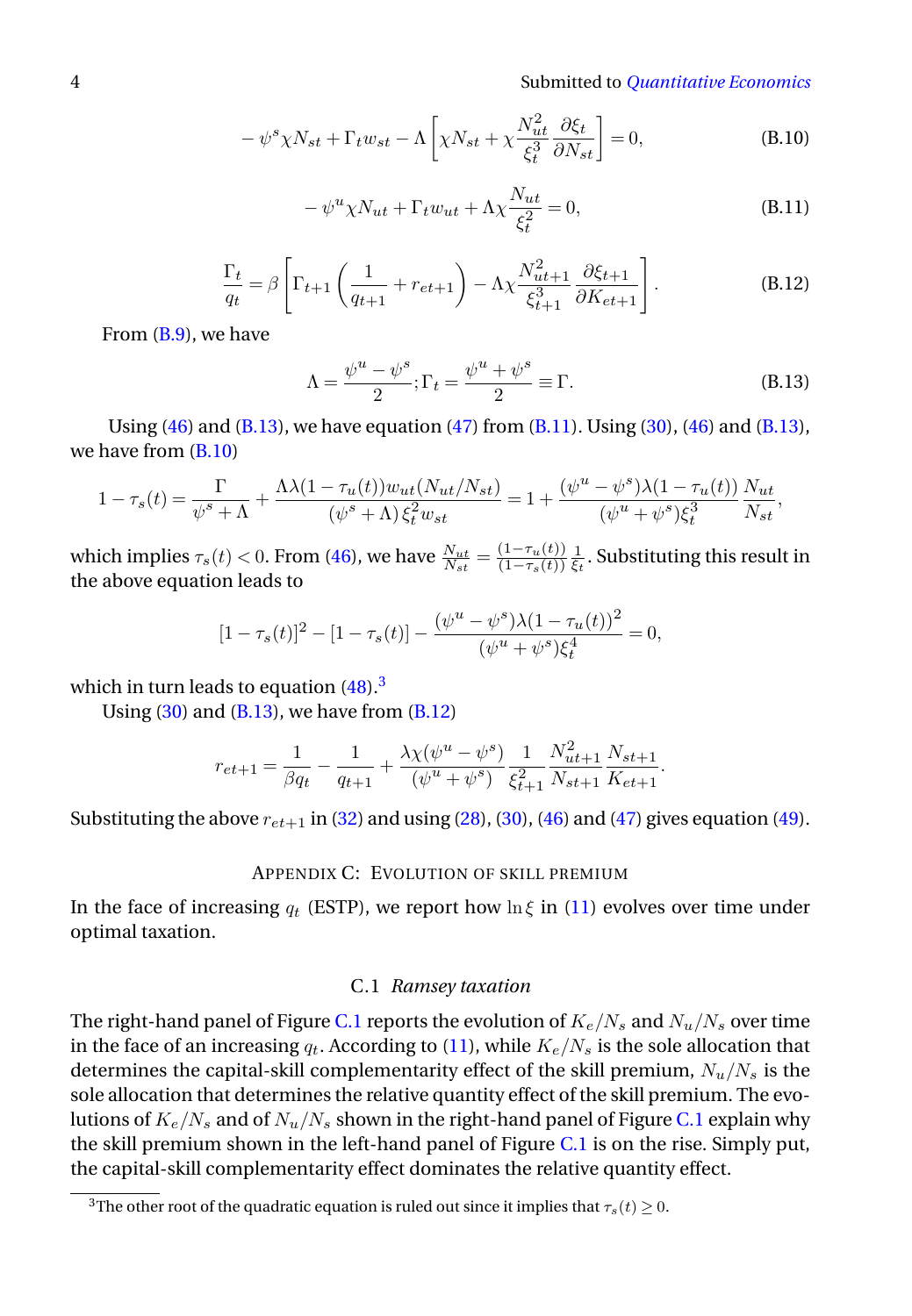4 Submitted to *[Quantitative Economics](http://qeconomics.org)*

<span id="page-3-2"></span>
$$
-\psi^s \chi N_{st} + \Gamma_t w_{st} - \Lambda \left[ \chi N_{st} + \chi \frac{N_{ut}^2}{\xi_t^3} \frac{\partial \xi_t}{\partial N_{st}} \right] = 0, \tag{B.10}
$$

<span id="page-3-1"></span>
$$
-\psi^u \chi N_{ut} + \Gamma_t w_{ut} + \Lambda \chi \frac{N_{ut}}{\xi_t^2} = 0,
$$
\n(B.11)

<span id="page-3-4"></span>
$$
\frac{\Gamma_t}{q_t} = \beta \left[ \Gamma_{t+1} \left( \frac{1}{q_{t+1}} + r_{et+1} \right) - \Lambda \chi \frac{N_{ut+1}^2}{\xi_{t+1}^3} \frac{\partial \xi_{t+1}}{\partial K_{et+1}} \right].
$$
\n(B.12)

From [\(B.9\)](#page-2-4), we have

<span id="page-3-0"></span>
$$
\Lambda = \frac{\psi^u - \psi^s}{2}; \Gamma_t = \frac{\psi^u + \psi^s}{2} \equiv \Gamma.
$$
 (B.13)

Using [\(46\)](#page-0-0) and [\(B.13\)](#page-3-0), we have equation [\(47\)](#page-0-0) from  $(B.11)$ . Using [\(30\)](#page-0-0), (46) and (B.13), we have from  $(B.10)$ 

$$
1-\tau_s(t)=\frac{\Gamma}{\psi^s+\Lambda}+\frac{\Lambda \lambda (1-\tau_u(t))w_{ut}(N_{ut}/N_{st})}{(\psi^s+\Lambda)\,\xi_t^2 w_{st}}=1+\frac{(\psi^u-\psi^s)\lambda (1-\tau_u(t))}{(\psi^u+\psi^s)\xi_t^3}\frac{N_{ut}}{N_{st}},
$$

which implies  $\tau_s(t) < 0$ . From [\(46\)](#page-0-0), we have  $\frac{N_{ut}}{N_{st}} = \frac{(1 - \tau_u(t))}{(1 - \tau_s(t))}$  $\frac{(1-\tau_u(t))}{(1-\tau_s(t))}\frac{1}{\xi_t}.$  Substituting this result in the above equation leads to

$$
[1 - \tau_s(t)]^2 - [1 - \tau_s(t)] - \frac{(\psi^u - \psi^s)\lambda(1 - \tau_u(t))^2}{(\psi^u + \psi^s)\xi_t^4} = 0,
$$

which in turn leads to equation  $(48)$ <sup>[3](#page-3-3)</sup>

Using  $(30)$  and  $(B.13)$ , we have from  $(B.12)$ 

$$
r_{et+1} = \frac{1}{\beta q_t} - \frac{1}{q_{t+1}} + \frac{\lambda \chi(\psi^u - \psi^s)}{(\psi^u + \psi^s)} \frac{1}{\xi_{t+1}^2} \frac{N_{ut+1}^2}{N_{st+1}} \frac{N_{st+1}}{K_{et+1}}.
$$

Substituting the above  $r_{et+1}$  in [\(32\)](#page-0-0) and using [\(28\)](#page-0-0), [\(30\)](#page-0-0), [\(46\)](#page-0-0) and [\(47\)](#page-0-0) gives equation [\(49\)](#page-0-0).

### APPENDIX C: EVOLUTION OF SKILL PREMIUM

In the face of increasing  $q_t$  (ESTP), we report how  $\ln \xi$  in [\(11\)](#page-0-0) evolves over time under optimal taxation.

#### C.1 *Ramsey taxation*

The right-hand panel of Figure [C.1](#page-4-0) reports the evolution of  $K_e/N_s$  and  $N_u/N_s$  over time in the face of an increasing  $q_t$ . According to [\(11\)](#page-0-0), while  $K_e/N_s$  is the sole allocation that determines the capital-skill complementarity effect of the skill premium,  $N_u/N_s$  is the sole allocation that determines the relative quantity effect of the skill premium. The evolutions of  $K_e/N_s$  and of  $N_u/N_s$  shown in the right-hand panel of Figure [C.1](#page-4-0) explain why the skill premium shown in the left-hand panel of Figure [C.1](#page-4-0) is on the rise. Simply put, the capital-skill complementarity effect dominates the relative quantity effect.

<span id="page-3-3"></span><sup>&</sup>lt;sup>3</sup>The other root of the quadratic equation is ruled out since it implies that  $\tau_s(t) \geq 0$ .